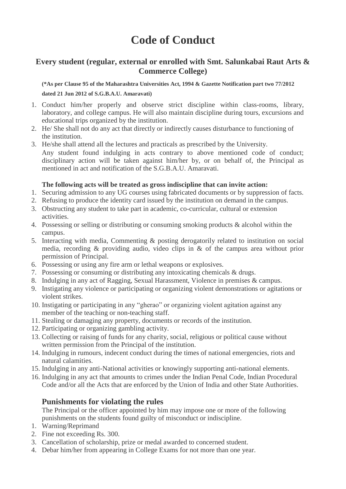# **Code of Conduct**

### **Every student (regular, external or enrolled with Smt. Salunkabai Raut Arts & Commerce College)**

**(\*As per Clause 95 of the Maharashtra Universities Act, 1994 & Gazette Notification part two 77/2012 dated 21 Jun 2012 of S.G.B.A.U. Amaravati)**

- 1. Conduct him/her properly and observe strict discipline within class-rooms, library, laboratory, and college campus. He will also maintain discipline during tours, excursions and educational trips organized by the institution.
- 2. He/ She shall not do any act that directly or indirectly causes disturbance to functioning of the institution.
- 3. He/she shall attend all the lectures and practicals as prescribed by the University. Any student found indulging in acts contrary to above mentioned code of conduct; disciplinary action will be taken against him/her by, or on behalf of, the Principal as mentioned in act and notification of the S.G.B.A.U. Amaravati.

#### **The following acts will be treated as gross indiscipline that can invite action:**

- 1. Securing admission to any UG courses using fabricated documents or by suppression of facts.
- 2. Refusing to produce the identity card issued by the institution on demand in the campus.
- 3. Obstructing any student to take part in academic, co-curricular, cultural or extension activities.
- 4. Possessing or selling or distributing or consuming smoking products & alcohol within the campus.
- 5. Interacting with media, Commenting & posting derogatorily related to institution on social media, recording & providing audio, video clips in & of the campus area without prior permission of Principal.
- 6. Possessing or using any fire arm or lethal weapons or explosives.
- 7. Possessing or consuming or distributing any intoxicating chemicals & drugs.
- 8. Indulging in any act of Ragging, Sexual Harassment, Violence in premises & campus.
- 9. Instigating any violence or participating or organizing violent demonstrations or agitations or violent strikes.
- 10. Instigating or participating in any "gherao" or organizing violent agitation against any member of the teaching or non-teaching staff.
- 11. Stealing or damaging any property, documents or records of the institution.
- 12. Participating or organizing gambling activity.
- 13. Collecting or raising of funds for any charity, social, religious or political cause without written permission from the Principal of the institution.
- 14. Indulging in rumours, indecent conduct during the times of national emergencies, riots and natural calamities.
- 15. Indulging in any anti-National activities or knowingly supporting anti-national elements.
- 16. Indulging in any act that amounts to crimes under the Indian Penal Code, Indian Procedural Code and/or all the Acts that are enforced by the Union of India and other State Authorities.

#### **Punishments for violating the rules**

The Principal or the officer appointed by him may impose one or more of the following punishments on the students found guilty of misconduct or indiscipline.

- 1. Warning/Reprimand
- 2. Fine not exceeding Rs. 300.
- 3. Cancellation of scholarship, prize or medal awarded to concerned student.
- 4. Debar him/her from appearing in College Exams for not more than one year.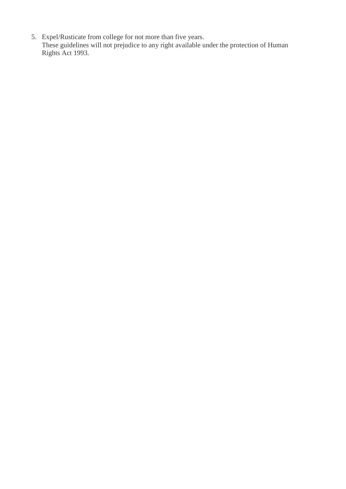5. Expel/Rusticate from college for not more than five years. These guidelines will not prejudice to any right available under the protection of Human Rights Act 1993.